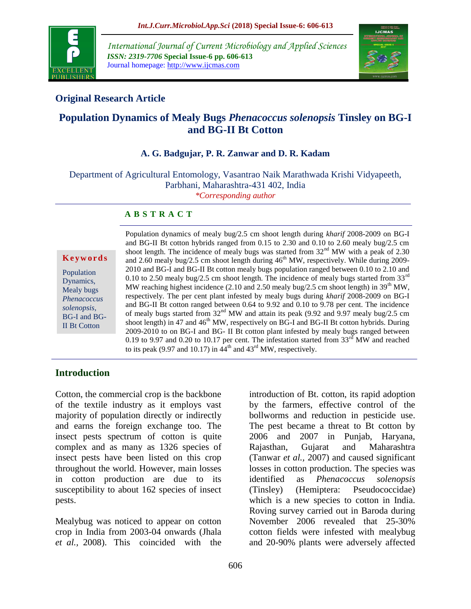

*International Journal of Current Microbiology and Applied Sciences ISSN: 2319-7706* **Special Issue-6 pp. 606-613** Journal homepage: http://www.ijcmas.com



## **Original Research Article**

# **Population Dynamics of Mealy Bugs** *Phenacoccus solenopsis* **Tinsley on BG-I and BG-II Bt Cotton**

#### **A. G. Badgujar, P. R. Zanwar and D. R. Kadam**

Department of Agricultural Entomology, Vasantrao Naik Marathwada Krishi Vidyapeeth, Parbhani, Maharashtra-431 402, India *\*Corresponding author*

#### **A B S T R A C T**

**K e y w o r d s**

Population Dynamics, Mealy bugs *Phenacoccus solenopsis*, BG-I and BG-II Bt Cotton

Population dynamics of mealy bug/2.5 cm shoot length during *kharif* 2008-2009 on BG-I and BG-II Bt cotton hybrids ranged from 0.15 to 2.30 and 0.10 to 2.60 mealy bug/2.5 cm shoot length. The incidence of mealy bugs was started from  $32<sup>nd</sup>$  MW with a peak of 2.30 and 2.60 mealy bug/2.5 cm shoot length during  $46<sup>th</sup> MW$ , respectively. While during 2009-2010 and BG-I and BG-II Bt cotton mealy bugs population ranged between 0.10 to 2.10 and 0.10 to 2.50 mealy bug/2.5 cm shoot length. The incidence of mealy bugs started from 33 $^{\text{rd}}$ MW reaching highest incidence (2.10 and 2.50 mealy bug/2.5 cm shoot length) in  $39<sup>th</sup>$  MW, respectively. The per cent plant infested by mealy bugs during *kharif* 2008-2009 on BG-I and BG-II Bt cotton ranged between 0.64 to 9.92 and 0.10 to 9.78 per cent. The incidence of mealy bugs started from 32<sup>nd</sup> MW and attain its peak (9.92 and 9.97 mealy bug/2.5 cm shoot length) in 47 and  $46<sup>th</sup> MW$ , respectively on BG-I and BG-II Bt cotton hybrids. During 2009-2010 to on BG-I and BG- II Bt cotton plant infested by mealy bugs ranged between 0.19 to 9.97 and 0.20 to 10.17 per cent. The infestation started from  $33<sup>rd</sup>$  MW and reached to its peak (9.97 and 10.17) in  $44<sup>th</sup>$  and  $43<sup>rd</sup>$  MW, respectively.

### **Introduction**

Cotton, the commercial crop is the backbone of the textile industry as it employs vast majority of population directly or indirectly and earns the foreign exchange too. The insect pests spectrum of cotton is quite complex and as many as 1326 species of insect pests have been listed on this crop throughout the world. However, main losses in cotton production are due to its susceptibility to about 162 species of insect pests.

Mealybug was noticed to appear on cotton crop in India from 2003-04 onwards (Jhala *et al.,* 2008). This coincided with the

introduction of Bt. cotton, its rapid adoption by the farmers, effective control of the bollworms and reduction in pesticide use. The pest became a threat to Bt cotton by 2006 and 2007 in Punjab, Haryana, Rajasthan, Gujarat and Maharashtra (Tanwar *et al.,* 2007) and caused significant losses in cotton production. The species was identified as *Phenacoccus solenopsis* (Tinsley) (Hemiptera: Pseudococcidae) which is a new species to cotton in India. Roving survey carried out in Baroda during November 2006 revealed that 25-30% cotton fields were infested with mealybug and 20-90% plants were adversely affected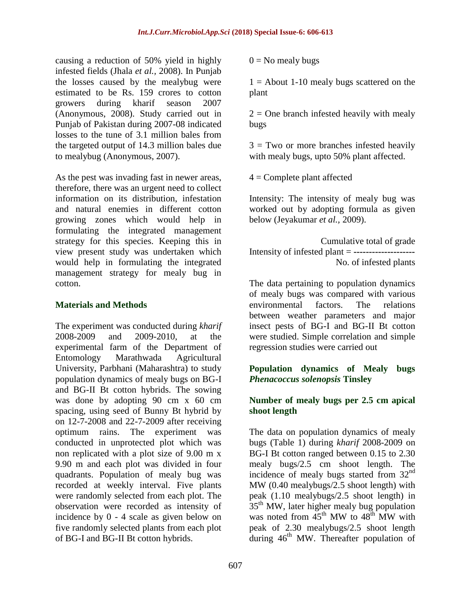causing a reduction of 50% yield in highly infested fields (Jhala *et al.,* 2008). In Punjab the losses caused by the mealybug were estimated to be Rs. 159 crores to cotton growers during kharif season 2007 (Anonymous, 2008). Study carried out in Punjab of Pakistan during 2007-08 indicated losses to the tune of 3.1 million bales from the targeted output of 14.3 million bales due to mealybug (Anonymous, 2007).

As the pest was invading fast in newer areas, therefore, there was an urgent need to collect information on its distribution, infestation and natural enemies in different cotton growing zones which would help in formulating the integrated management strategy for this species. Keeping this in view present study was undertaken which would help in formulating the integrated management strategy for mealy bug in cotton.

#### **Materials and Methods**

The experiment was conducted during *kharif*  2008-2009 and 2009-2010, at the experimental farm of the Department of Entomology Marathwada Agricultural University, Parbhani (Maharashtra) to study population dynamics of mealy bugs on BG-I and BG-II Bt cotton hybrids. The sowing was done by adopting 90 cm x 60 cm spacing, using seed of Bunny Bt hybrid by on 12-7-2008 and 22-7-2009 after receiving optimum rains. The experiment was conducted in unprotected plot which was non replicated with a plot size of 9.00 m x 9.90 m and each plot was divided in four quadrants. Population of mealy bug was recorded at weekly interval. Five plants were randomly selected from each plot. The observation were recorded as intensity of incidence by 0 - 4 scale as given below on five randomly selected plants from each plot of BG-I and BG-II Bt cotton hybrids.

 $0 =$  No mealy bugs

 $1 =$  About 1-10 mealy bugs scattered on the plant

 $2 =$  One branch infested heavily with mealy bugs

 $3 = Two$  or more branches infested heavily with mealy bugs, upto 50% plant affected.

 $4 =$  Complete plant affected

Intensity: The intensity of mealy bug was worked out by adopting formula as given below (Jeyakumar *et al.,* 2009).

Cumulative total of grade Intensity of infested plant = **--------------------** No. of infested plants

The data pertaining to population dynamics of mealy bugs was compared with various environmental factors. The relations between weather parameters and major insect pests of BG-I and BG-II Bt cotton were studied. Simple correlation and simple regression studies were carried out

#### **Population dynamics of Mealy bugs**  *Phenacoccus solenopsis* **Tinsley**

#### **Number of mealy bugs per 2.5 cm apical shoot length**

The data on population dynamics of mealy bugs (Table 1) during *kharif* 2008-2009 on BG-I Bt cotton ranged between 0.15 to 2.30 mealy bugs/2.5 cm shoot length. The incidence of mealy bugs started from  $32<sup>nd</sup>$ MW (0.40 mealybugs/2.5 shoot length) with peak (1.10 mealybugs/2.5 shoot length) in 35<sup>th</sup> MW, later higher mealy bug population was noted from  $45<sup>th</sup>$  MW to  $48<sup>th</sup>$  MW with peak of 2.30 mealybugs/2.5 shoot length during  $46<sup>th</sup>$  MW. Thereafter population of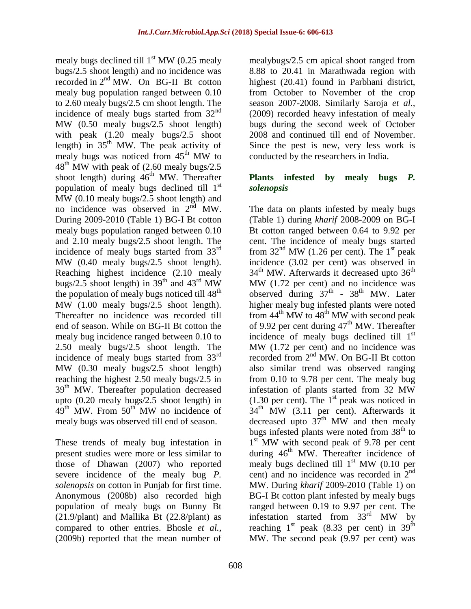mealy bugs declined till  $1<sup>st</sup> MW$  (0.25 mealy bugs/2.5 shoot length) and no incidence was recorded in 2nd MW. On BG-II Bt cotton mealy bug population ranged between 0.10 to 2.60 mealy bugs/2.5 cm shoot length. The incidence of mealy bugs started from  $32<sup>nd</sup>$ MW (0.50 mealy bugs/2.5 shoot length) with peak (1.20 mealy bugs/2.5 shoot length) in  $35<sup>th</sup>$  MW. The peak activity of mealy bugs was noticed from  $45<sup>th</sup>$  MW to  $48<sup>th</sup>$  MW with peak of (2.60 mealy bugs/2.5) shoot length) during  $46<sup>th</sup>$  MW. Thereafter population of mealy bugs declined till  $1<sup>st</sup>$ MW (0.10 mealy bugs/2.5 shoot length) and no incidence was observed in  $2<sup>nd</sup>$  MW. During 2009-2010 (Table 1) BG-I Bt cotton mealy bugs population ranged between 0.10 and 2.10 mealy bugs/2.5 shoot length. The incidence of mealy bugs started from 33rd MW (0.40 mealy bugs/2.5 shoot length). Reaching highest incidence (2.10 mealy bugs/2.5 shoot length) in  $39<sup>th</sup>$  and  $43<sup>rd</sup>$  MW the population of mealy bugs noticed till  $48<sup>th</sup>$ MW (1.00 mealy bugs/2.5 shoot length). Thereafter no incidence was recorded till end of season. While on BG-II Bt cotton the mealy bug incidence ranged between 0.10 to 2.50 mealy bugs/2.5 shoot length. The incidence of mealy bugs started from 33rd MW (0.30 mealy bugs/2.5 shoot length) reaching the highest 2.50 mealy bugs/2.5 in 39<sup>th</sup> MW. Thereafter population decreased upto (0.20 mealy bugs/2.5 shoot length) in  $49<sup>th</sup>$  MW. From  $50<sup>th</sup>$  MW no incidence of mealy bugs was observed till end of season.

These trends of mealy bug infestation in present studies were more or less similar to those of Dhawan (2007) who reported severe incidence of the mealy bug *P. solenopsis* on cotton in Punjab for first time. Anonymous (2008b) also recorded high population of mealy bugs on Bunny Bt (21.9/plant) and Mallika Bt (22.8/plant) as compared to other entries. Bhosle *et al.,*  (2009b) reported that the mean number of

mealybugs/2.5 cm apical shoot ranged from 8.88 to 20.41 in Marathwada region with highest (20.41) found in Parbhani district, from October to November of the crop season 2007-2008. Similarly Saroja *et al.,*  (2009) recorded heavy infestation of mealy bugs during the second week of October 2008 and continued till end of November. Since the pest is new, very less work is conducted by the researchers in India.

#### **Plants infested by mealy bugs** *P. solenopsis*

The data on plants infested by mealy bugs (Table 1) during *kharif* 2008-2009 on BG-I Bt cotton ranged between 0.64 to 9.92 per cent. The incidence of mealy bugs started from  $32<sup>nd</sup> MW$  (1.26 per cent). The 1<sup>st</sup> peak incidence (3.02 per cent) was observed in  $34<sup>th</sup>$  MW. Afterwards it decreased upto  $36<sup>th</sup>$ MW (1.72 per cent) and no incidence was observed during  $37<sup>th</sup>$  -  $38<sup>th</sup>$  MW. Later higher mealy bug infested plants were noted from  $44^{\text{th}}$  MW to  $48^{\text{th}}$  MW with second peak of 9.92 per cent during  $47<sup>th</sup>$  MW. Thereafter incidence of mealy bugs declined till  $1<sup>st</sup>$ MW (1.72 per cent) and no incidence was recorded from 2<sup>nd</sup> MW. On BG-II Bt cotton also similar trend was observed ranging from 0.10 to 9.78 per cent. The mealy bug infestation of plants started from 32 MW  $(1.30 \text{ per cent})$ . The 1<sup>st</sup> peak was noticed in  $34<sup>th</sup>$  MW (3.11 per cent). Afterwards it decreased upto  $37<sup>th</sup>$  MW and then mealy bugs infested plants were noted from  $38<sup>th</sup>$  to 1<sup>st</sup> MW with second peak of 9.78 per cent during  $46<sup>th</sup>$  MW. Thereafter incidence of mealy bugs declined till  $1<sup>st</sup> MW$  (0.10 per cent) and no incidence was recorded in  $2<sup>nd</sup>$ MW. During *kharif* 2009-2010 (Table 1) on BG-I Bt cotton plant infested by mealy bugs ranged between 0.19 to 9.97 per cent. The infestation started from  $33<sup>rd</sup>$  MW by reaching  $1<sup>st</sup>$  peak (8.33 per cent) in 39<sup>th</sup> MW. The second peak (9.97 per cent) was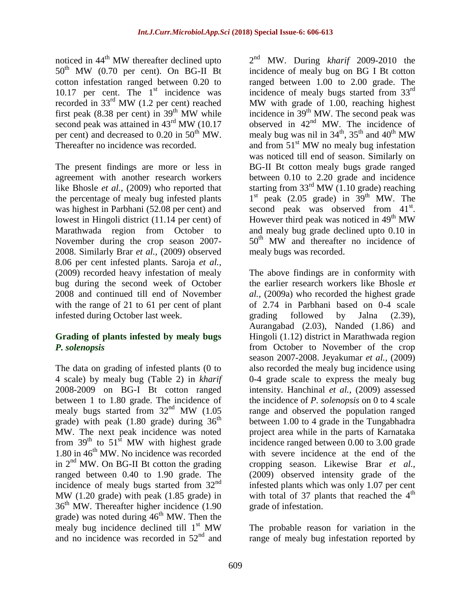noticed in  $44<sup>th</sup>$  MW thereafter declined upto  $50<sup>th</sup>$  MW (0.70 per cent). On BG-II Bt cotton infestation ranged between 0.20 to 10.17 per cent. The  $1<sup>st</sup>$  incidence was recorded in  $33<sup>rd</sup>$  MW (1.2 per cent) reached first peak (8.38 per cent) in  $39<sup>th</sup>$  MW while second peak was attained in 43<sup>rd</sup> MW (10.17) per cent) and decreased to  $0.20$  in  $50<sup>th</sup>$  MW. Thereafter no incidence was recorded.

The present findings are more or less in agreement with another research workers like Bhosle *et al.,* (2009) who reported that the percentage of mealy bug infested plants was highest in Parbhani (52.08 per cent) and lowest in Hingoli district (11.14 per cent) of Marathwada region from October to November during the crop season 2007- 2008. Similarly Brar *et al.,* (2009) observed 8.06 per cent infested plants. Saroja *et al.,*  (2009) recorded heavy infestation of mealy bug during the second week of October 2008 and continued till end of November with the range of 21 to 61 per cent of plant infested during October last week.

#### **Grading of plants infested by mealy bugs**  *P. solenopsis*

The data on grading of infested plants (0 to 4 scale) by mealy bug (Table 2) in *kharif*  2008-2009 on BG-I Bt cotton ranged between 1 to 1.80 grade. The incidence of mealy bugs started from  $32<sup>nd</sup>$  MW (1.05) grade) with peak  $(1.80 \text{ grade})$  during  $36^{\text{th}}$ MW. The next peak incidence was noted from  $39<sup>th</sup>$  to  $51<sup>st</sup>$  MW with highest grade 1.80 in  $46^{\text{th}}$  MW. No incidence was recorded in  $2<sup>nd</sup>$  MW. On BG-II Bt cotton the grading ranged between 0.40 to 1.90 grade. The incidence of mealy bugs started from  $32<sup>nd</sup>$ MW (1.20 grade) with peak (1.85 grade) in  $36<sup>th</sup>$  MW. Thereafter higher incidence (1.90) grade) was noted during  $46<sup>th</sup>$  MW. Then the mealy bug incidence declined till  $1<sup>st</sup> MW$ and no incidence was recorded in  $52<sup>nd</sup>$  and

2 nd MW. During *kharif* 2009-2010 the incidence of mealy bug on BG I Bt cotton ranged between 1.00 to 2.00 grade. The incidence of mealy bugs started from 33rd MW with grade of 1.00, reaching highest incidence in 39<sup>th</sup> MW. The second peak was observed in  $42<sup>nd</sup>$  MW. The incidence of mealy bug was nil in  $34<sup>th</sup>$ ,  $35<sup>th</sup>$  and  $40<sup>th</sup>$  MW and from  $51<sup>st</sup>$  MW no mealy bug infestation was noticed till end of season. Similarly on BG-II Bt cotton mealy bugs grade ranged between 0.10 to 2.20 grade and incidence starting from  $33<sup>rd</sup> MW$  (1.10 grade) reaching 1<sup>st</sup> peak (2.05 grade) in 39<sup>th</sup> MW. The second peak was observed from 41<sup>st</sup>. However third peak was noticed in  $49<sup>th</sup>$  MW and mealy bug grade declined upto 0.10 in  $50<sup>th</sup>$  MW and thereafter no incidence of mealy bugs was recorded.

The above findings are in conformity with the earlier research workers like Bhosle *et al.,* (2009a) who recorded the highest grade of 2.74 in Parbhani based on 0-4 scale grading followed by Jalna (2.39), Aurangabad (2.03), Nanded (1.86) and Hingoli (1.12) district in Marathwada region from October to November of the crop season 2007-2008. Jeyakumar *et al.,* (2009) also recorded the mealy bug incidence using 0-4 grade scale to express the mealy bug intensity. Hanchinal *et al.,* (2009) assessed the incidence of *P. solenopsis* on 0 to 4 scale range and observed the population ranged between 1.00 to 4 grade in the Tungabhadra project area while in the parts of Karnataka incidence ranged between 0.00 to 3.00 grade with severe incidence at the end of the cropping season. Likewise Brar *et al.,*  (2009) observed intensity grade of the infested plants which was only 1.07 per cent with total of 37 plants that reached the  $4<sup>th</sup>$ grade of infestation.

The probable reason for variation in the range of mealy bug infestation reported by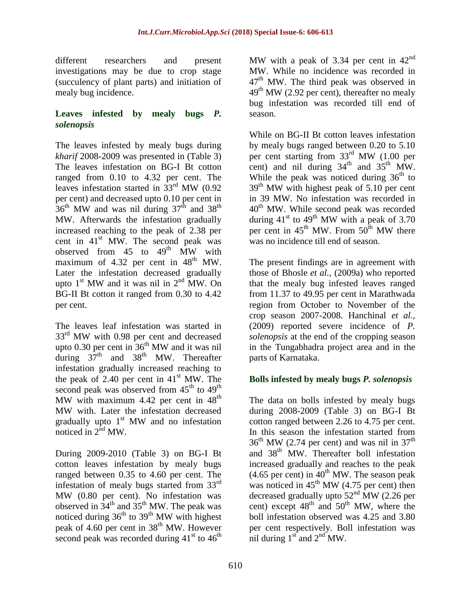different researchers and present investigations may be due to crop stage (succulency of plant parts) and initiation of mealy bug incidence.

#### **Leaves infested by mealy bugs** *P. solenopsis*

The leaves infested by mealy bugs during *kharif* 2008-2009 was presented in (Table 3) The leaves infestation on BG-I Bt cotton ranged from 0.10 to 4.32 per cent. The leaves infestation started in  $33<sup>rd</sup>$  MW (0.92) per cent) and decreased upto 0.10 per cent in  $36<sup>th</sup>$  MW and was nil during  $37<sup>th</sup>$  and  $38<sup>th</sup>$ MW. Afterwards the infestation gradually increased reaching to the peak of 2.38 per cent in  $41<sup>st</sup>$  MW. The second peak was observed from  $45$  to  $49<sup>th</sup>$  MW with maximum of  $4.32$  per cent in  $48<sup>th</sup>$  MW. Later the infestation decreased gradually upto  $1<sup>st</sup> MW$  and it was nil in  $2<sup>nd</sup> MW$ . On BG-II Bt cotton it ranged from 0.30 to 4.42 per cent.

The leaves leaf infestation was started in  $33<sup>rd</sup>$  MW with 0.98 per cent and decreased upto 0.30 per cent in  $36<sup>th</sup>$  MW and it was nil during  $37<sup>th</sup>$  and  $38<sup>th</sup>$  MW. Thereafter infestation gradually increased reaching to the peak of  $2.40$  per cent in  $41<sup>st</sup>$  MW. The second peak was observed from  $45<sup>th</sup>$  to  $49<sup>th</sup>$ MW with maximum  $4.42$  per cent in  $48<sup>th</sup>$ MW with. Later the infestation decreased gradually upto  $1<sup>st</sup>$  MW and no infestation noticed in  $2^{\text{nd}}$  MW.

During 2009-2010 (Table 3) on BG-I Bt cotton leaves infestation by mealy bugs ranged between 0.35 to 4.60 per cent. The infestation of mealy bugs started from 33<sup>rd</sup> MW (0.80 per cent). No infestation was observed in  $34<sup>th</sup>$  and  $35<sup>th</sup>$  MW. The peak was noticed during  $36<sup>th</sup>$  to  $39<sup>th</sup>$  MW with highest peak of 4.60 per cent in 38<sup>th</sup> MW. However second peak was recorded during  $41<sup>st</sup>$  to  $46<sup>th</sup>$ 

MW with a peak of 3.34 per cent in  $42<sup>nd</sup>$ MW. While no incidence was recorded in 47<sup>th</sup> MW. The third peak was observed in  $49<sup>th</sup> MW$  (2.92 per cent), thereafter no mealy bug infestation was recorded till end of season.

While on BG-II Bt cotton leaves infestation by mealy bugs ranged between 0.20 to 5.10 per cent starting from 33rd MW (1.00 per cent) and nil during  $34<sup>th</sup>$  and  $35<sup>th</sup>$  MW. While the peak was noticed during  $36<sup>th</sup>$  to  $39<sup>th</sup>$  MW with highest peak of 5.10 per cent in 39 MW. No infestation was recorded in 40<sup>th</sup> MW. While second peak was recorded during  $41<sup>st</sup>$  to  $49<sup>th</sup>$  MW with a peak of 3.70 per cent in  $45<sup>th</sup>$  MW. From  $50<sup>th</sup>$  MW there was no incidence till end of season.

The present findings are in agreement with those of Bhosle *et al.,* (2009a) who reported that the mealy bug infested leaves ranged from 11.37 to 49.95 per cent in Marathwada region from October to November of the crop season 2007-2008. Hanchinal *et al.,*  (2009) reported severe incidence of *P. solenopsis* at the end of the cropping season in the Tungabhadra project area and in the parts of Karnataka.

### **Bolls infested by mealy bugs** *P. solenopsis*

The data on bolls infested by mealy bugs during 2008-2009 (Table 3) on BG-I Bt cotton ranged between 2.26 to 4.75 per cent. In this season the infestation started from  $36<sup>th</sup>$  MW (2.74 per cent) and was nil in 37<sup>th</sup> and 38<sup>th</sup> MW. Thereafter boll infestation increased gradually and reaches to the peak  $(4.65$  per cent) in  $40^{\text{th}}$  MW. The season peak was noticed in  $45<sup>th</sup> MW$  (4.75 per cent) then decreased gradually upto  $52<sup>nd</sup>$  MW (2.26 per cent) except  $48<sup>th</sup>$  and  $50<sup>th</sup>$  MW, where the boll infestation observed was 4.25 and 3.80 per cent respectively. Boll infestation was nil during  $1<sup>st</sup>$  and  $2<sup>nd</sup>$  MW.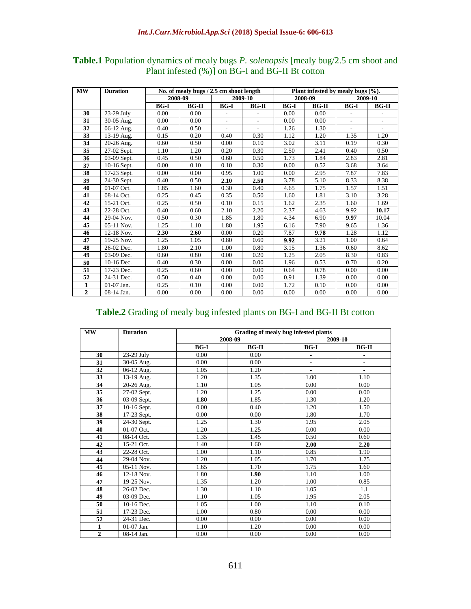| MW             | <b>Duration</b>           | No. of mealy bugs / 2.5 cm shoot length |         |                              | Plant infested by mealy bugs $(\%).$ |         |         |                          |                          |
|----------------|---------------------------|-----------------------------------------|---------|------------------------------|--------------------------------------|---------|---------|--------------------------|--------------------------|
|                |                           | 2008-09                                 |         | 2009-10                      |                                      | 2008-09 |         | 2009-10                  |                          |
|                |                           | $BG-I$                                  | $BG-II$ | $BG-I$                       | $BG-II$                              | $BG-I$  | $BG-II$ | $BG-I$                   | <b>BG-II</b>             |
| 30             | 23-29 July                | 0.00                                    | 0.00    | $\qquad \qquad \blacksquare$ |                                      | 0.00    | 0.00    | ٠                        |                          |
| 31             | 30-05 Aug.                | 0.00                                    | 0.00    | $\overline{a}$               | $\overline{\phantom{a}}$             | 0.00    | 0.00    | $\overline{\phantom{a}}$ | $\overline{\phantom{a}}$ |
| 32             | $\overline{0}$ 6-12 Aug.  | 0.40                                    | 0.50    | $\overline{a}$               | $\sim$                               | 1.26    | 1.30    | $\overline{\phantom{a}}$ | $\overline{\phantom{0}}$ |
| 33             | $13-19$ Aug.              | 0.15                                    | 0.20    | 0.40                         | 0.30                                 | 1.12    | 1.20    | 1.35                     | 1.20                     |
| 34             | 20-26 Aug.                | 0.60                                    | 0.50    | 0.00                         | 0.10                                 | 3.02    | 3.11    | 0.19                     | 0.30                     |
| 35             | 27-02 Sept.               | 1.10                                    | 1.20    | 0.20                         | 0.30                                 | 2.50    | 2.41    | 0.40                     | 0.50                     |
| 36             | $\overline{0}$ 3-09 Sept. | 0.45                                    | 0.50    | 0.60                         | 0.50                                 | 1.73    | 1.84    | 2.83                     | 2.81                     |
| 37             | $10-16$ Sept.             | 0.00                                    | 0.10    | 0.10                         | 0.30                                 | 0.00    | 0.52    | 3.68                     | 3.64                     |
| 38             | 17-23 Sept.               | 0.00                                    | 0.00    | 0.95                         | 1.00                                 | 0.00    | 2.95    | 7.87                     | 7.83                     |
| 39             | 24-30 Sept.               | 0.40                                    | 0.50    | 2.10                         | 2.50                                 | 3.78    | 5.10    | 8.33                     | 8.38                     |
| 40             | 01-07 Oct.                | 1.85                                    | 1.60    | 0.30                         | 0.40                                 | 4.65    | 1.75    | 1.57                     | 1.51                     |
| 41             | 08-14 Oct.                | 0.25                                    | 0.45    | 0.35                         | 0.50                                 | 1.60    | 1.81    | 3.10                     | 3.28                     |
| 42             | 15-21 Oct.                | 0.25                                    | 0.50    | 0.10                         | 0.15                                 | 1.62    | 2.35    | 1.60                     | 1.69                     |
| 43             | 22-28 Oct.                | 0.40                                    | 0.60    | 2.10                         | 2.20                                 | 2.37    | 4.63    | 9.92                     | 10.17                    |
| 44             | 29-04 Nov.                | 0.50                                    | 0.30    | 1.85                         | 1.80                                 | 4.34    | 6.90    | 9.97                     | 10.04                    |
| 45             | $\overline{05}$ -11 Nov.  | 1.25                                    | 1.10    | 1.80                         | 1.95                                 | 6.16    | 7.90    | 9.65                     | 1.36                     |
| 46             | 12-18 Nov.                | 2.30                                    | 2.60    | 0.00                         | 0.20                                 | 7.87    | 9.78    | 1.28                     | 1.12                     |
| 47             | 19-25 Nov.                | 1.25                                    | 1.05    | 0.80                         | 0.60                                 | 9.92    | 3.21    | 1.00                     | 0.64                     |
| 48             | 26-02 Dec.                | 1.80                                    | 2.10    | 1.00                         | 0.80                                 | 3.15    | 1.36    | 0.60                     | 8.62                     |
| 49             | 03-09 Dec.                | 0.60                                    | 0.80    | 0.00                         | 0.20                                 | 1.25    | 2.05    | 8.30                     | 0.83                     |
| 50             | 10-16 Dec.                | 0.40                                    | 0.30    | 0.00                         | 0.00                                 | 1.96    | 0.53    | 0.70                     | 0.20                     |
| 51             | 17-23 Dec.                | 0.25                                    | 0.60    | 0.00                         | 0.00                                 | 0.64    | 0.78    | 0.00                     | 0.00                     |
| 52             | 24-31 Dec.                | 0.50                                    | 0.40    | 0.00                         | 0.00                                 | 0.91    | 1.39    | 0.00                     | 0.00                     |
| $\mathbf{1}$   | $01-07$ Jan.              | 0.25                                    | 0.10    | 0.00                         | 0.00                                 | 1.72    | 0.10    | 0.00                     | 0.00                     |
| $\overline{2}$ | 08-14 Jan.                | 0.00                                    | 0.00    | 0.00                         | 0.00                                 | 0.00    | 0.00    | 0.00                     | 0.00                     |

#### **Table.1** Population dynamics of mealy bugs *P. solenopsis* [mealy bug/2.5 cm shoot and Plant infested (%)] on BG-I and BG-II Bt cotton

#### **Table.2** Grading of mealy bug infested plants on BG-I and BG-II Bt cotton

| MW             | <b>Duration</b> | Grading of mealy bug infested plants |         |             |                          |  |  |  |  |
|----------------|-----------------|--------------------------------------|---------|-------------|--------------------------|--|--|--|--|
|                |                 |                                      | 2008-09 |             | 2009-10                  |  |  |  |  |
|                |                 | $BG-I$                               | $BG-II$ | <b>BG-I</b> | $BG-II$                  |  |  |  |  |
| 30             | 23-29 July      | 0.00                                 | 0.00    | ÷.          | $\overline{\phantom{a}}$ |  |  |  |  |
| 31             | 30-05 Aug.      | 0.00                                 | 0.00    | ÷,          | $\overline{\phantom{a}}$ |  |  |  |  |
| 32             | 06-12 Aug.      | 1.05                                 | 1.20    | ÷           | $\overline{\phantom{a}}$ |  |  |  |  |
| 33             | $13-19$ Aug.    | 1.20                                 | 1.35    | 1.00        | 1.10                     |  |  |  |  |
| 34             | 20-26 Aug.      | 1.10                                 | 1.05    | 0.00        | 0.00                     |  |  |  |  |
| 35             | 27-02 Sept.     | 1.20                                 | 1.25    | 0.00        | 0.00                     |  |  |  |  |
| 36             | 03-09 Sept.     | 1.80                                 | 1.85    | 1.30        | 1.20                     |  |  |  |  |
| 37             | $10-16$ Sept.   | 0.00                                 | 0.40    | 1.20        | 1.50                     |  |  |  |  |
| 38             | 17-23 Sept.     | 0.00                                 | 0.00    | 1.80        | 1.70                     |  |  |  |  |
| 39             | 24-30 Sept.     | 1.25                                 | 1.30    | 1.95        | 2.05                     |  |  |  |  |
| 40             | 01-07 Oct.      | 1.20                                 | 1.25    | 0.00        | 0.00                     |  |  |  |  |
| 41             | 08-14 Oct.      | 1.35                                 | 1.45    | 0.50        | 0.60                     |  |  |  |  |
| 42             | 15-21 Oct.      | 1.40                                 | 1.60    | 2.00        | 2.20                     |  |  |  |  |
| 43             | 22-28 Oct.      | 1.00                                 | 1.10    | 0.85        | 1.90                     |  |  |  |  |
| 44             | 29-04 Nov.      | 1.20                                 | 1.05    | 1.70        | 1.75                     |  |  |  |  |
| 45             | 05-11 Nov.      | 1.65                                 | 1.70    | 1.75        | 1.60                     |  |  |  |  |
| 46             | 12-18 Nov.      | 1.80                                 | 1.90    | 1.10        | 1.00                     |  |  |  |  |
| 47             | 19-25 Nov.      | 1.35                                 | 1.20    | 1.00        | 0.85                     |  |  |  |  |
| 48             | 26-02 Dec.      | 1.30                                 | 1.10    | 1.05        | 1.1                      |  |  |  |  |
| 49             | 03-09 Dec.      | 1.10                                 | 1.05    | 1.95        | 2.05                     |  |  |  |  |
| 50             | 10-16 Dec.      | 1.05                                 | 1.00    | 1.10        | 0.10                     |  |  |  |  |
| 51             | 17-23 Dec.      | 1.00                                 | 0.80    | 0.00        | 0.00                     |  |  |  |  |
| 52             | 24-31 Dec.      | 0.00                                 | 0.00    | 0.00        | 0.00                     |  |  |  |  |
| 1              | 01-07 Jan.      | 1.10                                 | 1.20    | 0.00        | 0.00                     |  |  |  |  |
| $\overline{2}$ | 08-14 Jan.      | 0.00                                 | 0.00    | 0.00        | 0.00                     |  |  |  |  |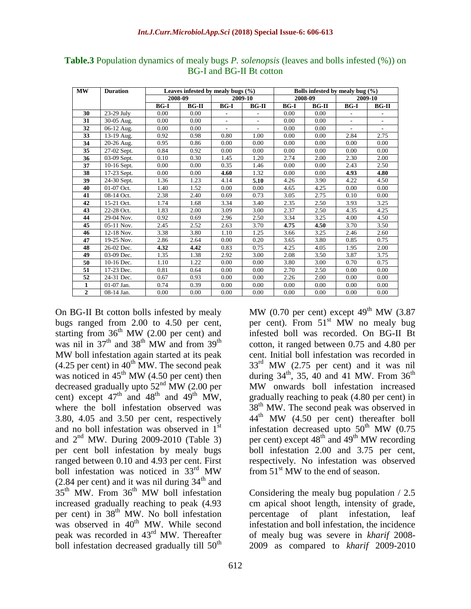| <b>MW</b>      | <b>Duration</b>          | Leaves infested by mealy bugs $(\% )$ |         |                          | Bolls infested by mealy bug (%) |                   |         |                          |                          |
|----------------|--------------------------|---------------------------------------|---------|--------------------------|---------------------------------|-------------------|---------|--------------------------|--------------------------|
|                |                          | 2008-09                               |         | 2009-10                  |                                 | 2008-09           |         | 2009-10                  |                          |
|                |                          | $BG-I$                                | $BG-II$ | $BG-I$                   | $BG-II$                         | $BG-I$            | $BG-II$ | $BG-I$                   | $BG-II$                  |
| 30             | 23-29 July               | 0.00                                  | 0.00    | $\overline{\phantom{a}}$ |                                 | 0.00              | 0.00    |                          |                          |
| 31             | 30-05 Aug.               | 0.00                                  | 0.00    | $\overline{\phantom{a}}$ |                                 | 0.00              | 0.00    | $\overline{\phantom{a}}$ | $\overline{\phantom{a}}$ |
| 32             | $\overline{0}$ 6-12 Aug. | 0.00                                  | 0.00    | ÷.                       | $\overline{a}$                  | 0.00              | 0.00    | $\overline{\phantom{a}}$ | $\overline{\phantom{a}}$ |
| 33             | 13-19 Aug.               | 0.92                                  | 0.98    | 0.80                     | 1.00                            | 0.00              | 0.00    | 2.84                     | 2.75                     |
| 34             | 20-26 Aug.               | 0.95                                  | 0.86    | 0.00                     | 0.00                            | 0.00              | 0.00    | 0.00                     | 0.00                     |
| 35             | $27-02$ Sept.            | 0.84                                  | 0.92    | 0.00                     | 0.00                            | 0.00              | 0.00    | 0.00                     | 0.00                     |
| 36             | $\overline{03-09}$ Sept. | 0.10                                  | 0.30    | 1.45                     | 1.20                            | 2.74              | 2.00    | 2.30                     | 2.00                     |
| 37             | 10-16 Sept.              | 0.00                                  | 0.00    | 0.35                     | 1.46                            | 0.00              | 0.00    | 2.43                     | 2.50                     |
| 38             | $17-23$ Sept.            | 0.00                                  | 0.00    | 4.60                     | 1.32                            | 0.00              | 0.00    | 4.93                     | 4.80                     |
| 39             | 24-30 Sept.              | 1.36                                  | 1.23    | 4.14                     | 5.10                            | 4.26              | 3.90    | 4.22                     | 4.50                     |
| 40             | 01-07 Oct.               | 1.40                                  | 1.52    | 0.00                     | 0.00                            | 4.65              | 4.25    | 0.00                     | 0.00                     |
| 41             | 08-14 Oct.               | 2.38                                  | 2.40    | 0.69                     | 0.73                            | 3.05              | 2.75    | 0.10                     | 0.00                     |
| 42             | 15-21 Oct.               | 1.74                                  | 1.68    | 3.34                     | 3.40                            | 2.35              | 2.50    | 3.93                     | 3.25                     |
| 43             | $22 - 28$ Oct.           | 1.83                                  | 2.00    | 3.09                     | 3.00                            | 2.37              | 2.50    | 4.35                     | 4.25                     |
| 44             | 29-04 Nov.               | 0.92                                  | 0.69    | 2.96                     | 2.50                            | 3.34              | 3.25    | 4.00                     | 4.50                     |
| 45             | 05-11 Nov.               | 2.45                                  | 2.52    | 2.63                     | 3.70                            | 4.75              | 4.50    | 3.70                     | 3.50                     |
| 46             | 12-18 Nov.               | 3.38                                  | 3.80    | 1.10                     | 1.25                            | 3.66              | 3.25    | 2.46                     | 2.60                     |
| 47             | 19-25 Nov.               | 2.86                                  | 2.64    | 0.00                     | 0.20                            | $\overline{3.65}$ | 3.80    | 0.85                     | 0.75                     |
| 48             | 26-02 Dec.               | 4.32                                  | 4.42    | 0.83                     | 0.75                            | 4.25              | 4.05    | 1.95                     | 2.00                     |
| 49             | 03-09 Dec.               | 1.35                                  | 1.38    | 2.92                     | 3.00                            | 2.08              | 3.50    | 3.87                     | 3.75                     |
| 50             | 10-16 Dec.               | 1.10                                  | 1.22    | 0.00                     | 0.00                            | 3.80              | 3.00    | 0.70                     | 0.75                     |
| 51             | 17-23 Dec.               | 0.81                                  | 0.64    | 0.00                     | 0.00                            | 2.70              | 2.50    | 0.00                     | 0.00                     |
| 52             | 24-31 Dec.               | 0.67                                  | 0.93    | 0.00                     | 0.00                            | 2.26              | 2.00    | 0.00                     | 0.00                     |
| 1              | $01-07$ Jan.             | 0.74                                  | 0.39    | 0.00                     | 0.00                            | 0.00              | 0.00    | 0.00                     | 0.00                     |
| $\overline{2}$ | 08-14 Jan.               | 0.00                                  | 0.00    | 0.00                     | 0.00                            | 0.00              | 0.00    | 0.00                     | 0.00                     |

**Table.3** Population dynamics of mealy bugs *P. solenopsis* (leaves and bolls infested (%)) on BG-I and BG-II Bt cotton

On BG-II Bt cotton bolls infested by mealy bugs ranged from 2.00 to 4.50 per cent, starting from  $36<sup>th</sup>$  MW (2.00 per cent) and was nil in  $37<sup>th</sup>$  and  $38<sup>th</sup>$  MW and from  $39<sup>th</sup>$ MW boll infestation again started at its peak  $(4.25$  per cent) in  $40^{th}$  MW. The second peak was noticed in  $45<sup>th</sup>$  MW (4.50 per cent) then decreased gradually upto  $52<sup>nd</sup> MW$  (2.00 per cent) except  $47<sup>th</sup>$  and  $48<sup>th</sup>$  and  $49<sup>th</sup>$  MW, where the boll infestation observed was 3.80, 4.05 and 3.50 per cent, respectively and no boll infestation was observed in 1<sup>st</sup> and  $2<sup>nd</sup>$  MW. During 2009-2010 (Table 3) per cent boll infestation by mealy bugs ranged between 0.10 and 4.93 per cent. First boll infestation was noticed in 33rd MW  $(2.84$  per cent) and it was nil during  $34<sup>th</sup>$  and  $35<sup>th</sup>$  MW. From  $36<sup>th</sup>$  MW boll infestation increased gradually reaching to peak (4.93 per cent) in 38<sup>th</sup> MW. No boll infestation was observed in 40<sup>th</sup> MW. While second peak was recorded in 43rd MW. Thereafter boll infestation decreased gradually till  $50<sup>th</sup>$ 

MW (0.70 per cent) except  $49<sup>th</sup>$  MW (3.87) per cent). From  $51<sup>st</sup>$  MW no mealy bug infested boll was recorded. On BG-II Bt cotton, it ranged between 0.75 and 4.80 per cent. Initial boll infestation was recorded in  $33<sup>rd</sup>$  MW (2.75 per cent) and it was nil during  $34<sup>th</sup>$ ,  $35$ ,  $40$  and  $41$  MW. From  $36<sup>th</sup>$ MW onwards boll infestation increased gradually reaching to peak (4.80 per cent) in 38<sup>th</sup> MW. The second peak was observed in 44th MW (4.50 per cent) thereafter boll infestation decreased upto  $50<sup>th</sup>$  MW (0.75) per cent) except  $48<sup>th</sup>$  and  $49<sup>th</sup>$  MW recording boll infestation 2.00 and 3.75 per cent, respectively. No infestation was observed from  $51<sup>st</sup>$  MW to the end of season.